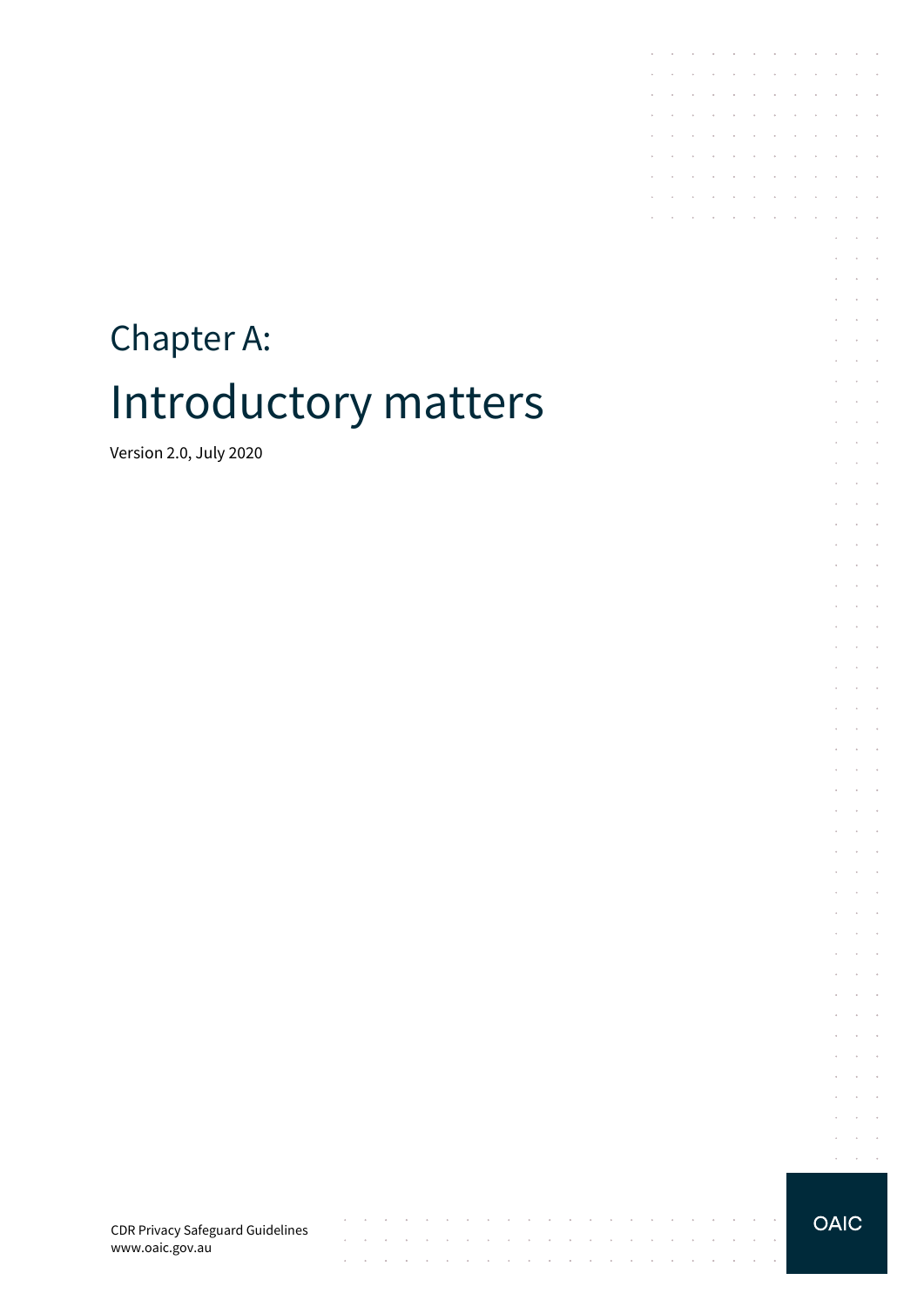# Chapter A: Introductory matters

Version 2.0, July 2020

CDR Privacy Safeguard Guidelines www.oaic.gov.au

 $\mathcal{A}^{\mathcal{A}}$  , and  $\mathcal{A}^{\mathcal{A}}$  , and  $\mathcal{A}^{\mathcal{A}}$ 

and the contract of the con-

 $\sim$  $\sim$ 

and a strategic and

 $\mathcal{A}$  is a set of the set of the set of the set of the set of the set of the set of the  $\mathcal{A}$ 

state and a state of

 $\bar{z}$ 

 $\sim$  $\bar{z}$ 

**Carl Carl** 

 $\bar{z}$ 

**OAIC** 

 $\mathcal{L}^{\mathcal{L}}$  $\sim$  $\sim$  $\mathcal{L}=\mathcal{L}=\mathcal{L}$  $\mathcal{L}$  $\sim$  $\mathcal{L}^{\mathcal{L}}$  $\mathcal{L}^{\text{max}}$  $\sim$  $\sim$  $\mathcal{L}^{\text{max}}$  and  $\mathcal{L}^{\text{max}}$  $\alpha$  ,  $\alpha$  ,  $\alpha$ 

the contract of the contract of the

 $\mathcal{A}$  , and the set of the set of the set of the set of  $\mathcal{A}$  $\mathcal{A}$  , and  $\mathcal{A}$  , and  $\mathcal{A}$  , and  $\mathcal{A}$  , and  $\mathcal{A}$ 

**Contractor** 

 $\mathcal{A}^{\mathcal{A}}$  and  $\mathcal{A}^{\mathcal{A}}$ 

 $\sim$ 

the control of the con-

÷ n.

 $\sim$ 

 $\sim$ 

 $\sim 10^{-11}$ 

 $\sim$ 

 $\sim$ **Service**  $\mathcal{L}^{\text{max}}$  and  $\mathcal{L}^{\text{max}}$  $\mathcal{L}^{\mathcal{L}}$  $\mathcal{L}^{\pm}$  $\mathcal{L}^{\text{max}}$  $\mathcal{L}^{\text{max}}$  and  $\mathcal{L}^{\text{max}}$ 

 $\alpha$  ,  $\beta$  ,  $\alpha$  ,  $\beta$  $\Delta \sim 10^{11}$  m  $^{-1}$  $\epsilon$  $\cdot$ 

 $\sim$  $\bar{z}$ and the control  $\mathcal{L}^{\text{max}}$  and  $\mathcal{L}^{\text{max}}$  $\mathcal{L}$  $\sim$  $\Delta\phi$  and  $\Delta\phi$  and  $\Delta\phi$  $\Delta \sim 10^{-10}$  k J. **Service** State  $\Delta \sim 10^{11}$  m  $^{-1}$  $\bar{\tau}$  $\Delta \sim 10^{11}$  m  $^{-1}$ **Service State**  $\bar{z}$  $\sim$  $\Delta\phi$  and  $\Delta\phi$  and  $\Delta\phi$ **Service** State J.  $\bar{z}$  $\cdot$ 

 $\mathcal{L}^{\pm}$  $\alpha$  ,  $\beta$  ,  $\alpha$ and a state  $\bar{z}$  $\sim$  $\mathcal{L}^{\pm}$  $\sim 10^{-1}$  . **Service** State  $\bar{z}$  $\bar{z}$  $\sim$  $\mathcal{L}^{\text{max}}$  and  $\mathcal{L}^{\text{max}}$  $1 - 1 - 1$  $\bar{z}$  $\alpha$  and  $\alpha$  $\mathcal{L}^{\text{max}}(\mathcal{L}^{\text{max}})$  $\sim$  $\sim$  $\sim$ and the control  $\mathcal{L}^{\text{max}}$  and  $\mathcal{L}^{\text{max}}$  $\mathcal{L}$ 

 $\sim$  $\sim$ 

s.  $\Delta\sim 10^4$ 

 $\epsilon$  $\sim$  $\sim$ 

÷.  $\sim$  $\sim$  $\sim$ 

i.

 $\sim$  $\bar{z}$  $\sim$ 

 $\sim$ 

 $\sim$  $\mathcal{L}_{\rm{max}}$  .

**Contractor** 

 $\mathcal{A}^{\mathcal{A}}$  , and  $\mathcal{A}^{\mathcal{A}}$  , and  $\mathcal{A}^{\mathcal{A}}$  , and  $\mathcal{A}^{\mathcal{A}}$  , and  $\mathcal{A}^{\mathcal{A}}$ 

and the company of the

 $\mathcal{L}^{\mathcal{A}}$  . The contribution of the contribution of  $\mathcal{L}^{\mathcal{A}}$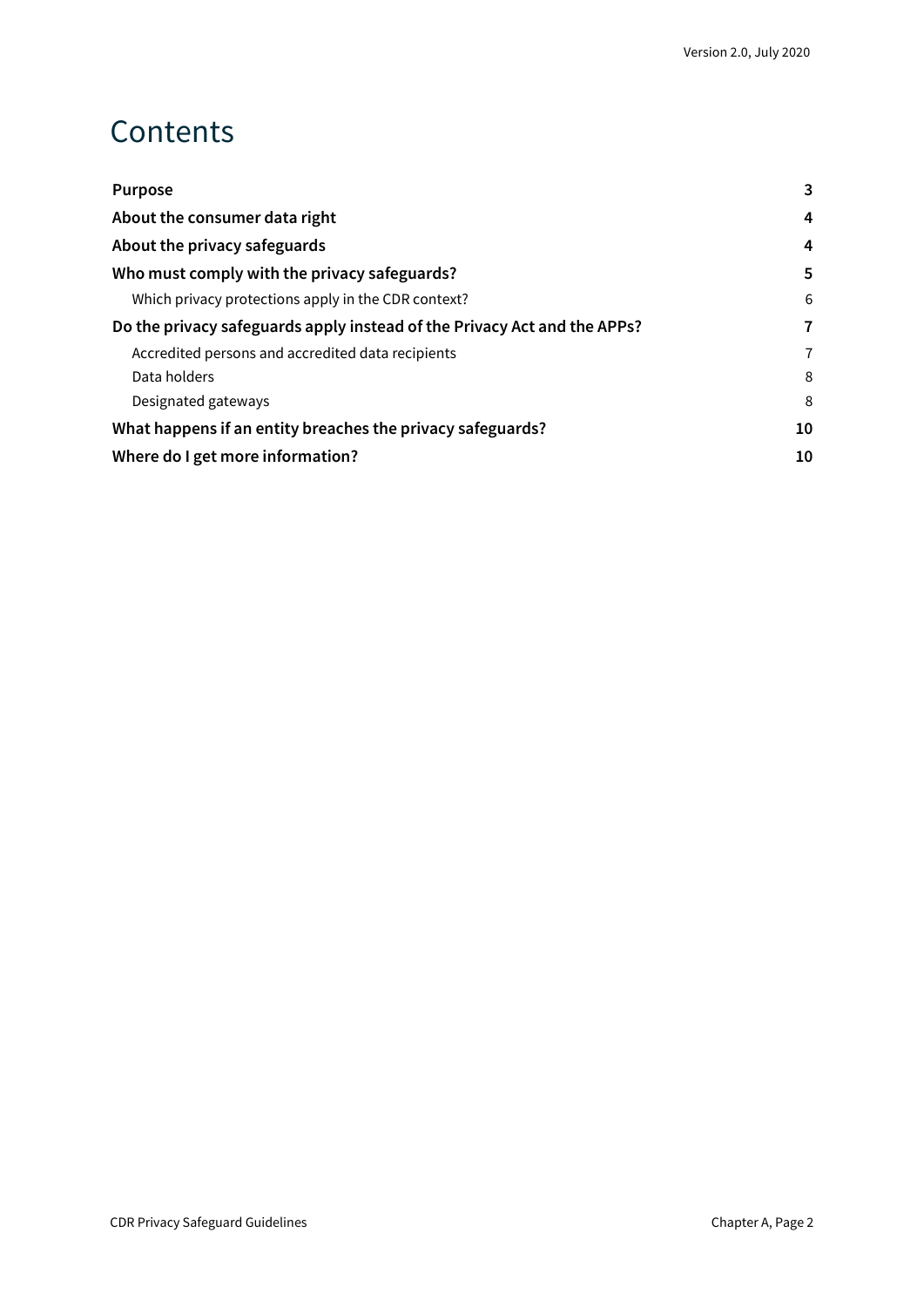### **Contents**

| <b>Purpose</b>                                                           | 3 |
|--------------------------------------------------------------------------|---|
| About the consumer data right                                            |   |
| About the privacy safeguards                                             | 4 |
| Who must comply with the privacy safeguards?                             | 5 |
| Which privacy protections apply in the CDR context?                      | 6 |
| Do the privacy safeguards apply instead of the Privacy Act and the APPs? |   |
| Accredited persons and accredited data recipients                        | 7 |
| Data holders                                                             | 8 |
| Designated gateways                                                      | 8 |
| What happens if an entity breaches the privacy safeguards?               |   |
| Where do I get more information?                                         |   |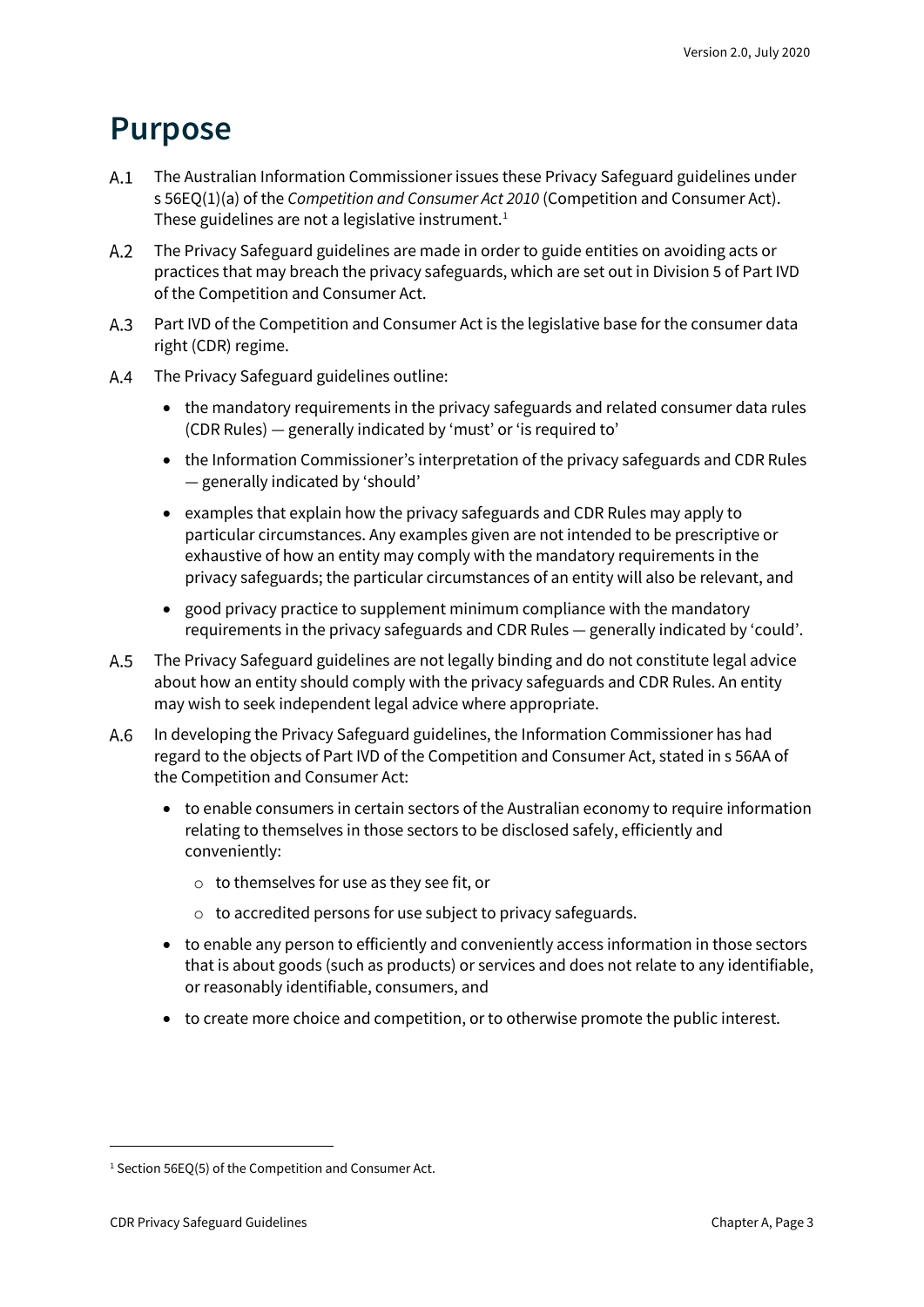#### <span id="page-2-0"></span>**Purpose**

- The Australian Information Commissioner issues these Privacy Safeguard guidelines under s 56EQ(1)(a) of the *Competition and Consumer Act 2010* (Competition and Consumer Act). These guidelines are not a legislative instrument.<sup>[1](#page-2-1)</sup>
- The Privacy Safeguard guidelines are made in order to guide entities on avoiding acts or  $A.2$ practices that may breach the privacy safeguards, which are set out in Division 5 of Part IVD of the Competition and Consumer Act.
- A.3 Part IVD of the Competition and Consumer Act is the legislative base for the consumer data right (CDR) regime.
- $A.4$ The Privacy Safeguard guidelines outline:
	- the mandatory requirements in the privacy safeguards and related consumer data rules (CDR Rules) — generally indicated by 'must' or 'is required to'
	- the Information Commissioner's interpretation of the privacy safeguards and CDR Rules — generally indicated by 'should'
	- examples that explain how the privacy safeguards and CDR Rules may apply to particular circumstances. Any examples given are not intended to be prescriptive or exhaustive of how an entity may comply with the mandatory requirements in the privacy safeguards; the particular circumstances of an entity will also be relevant, and
	- good privacy practice to supplement minimum compliance with the mandatory requirements in the privacy safeguards and CDR Rules — generally indicated by 'could'.
- $A.5$ The Privacy Safeguard guidelines are not legally binding and do not constitute legal advice about how an entity should comply with the privacy safeguards and CDR Rules. An entity may wish to seek independent legal advice where appropriate.
- In developing the Privacy Safeguard guidelines, the Information Commissioner has had  $A.6$ regard to the objects of Part IVD of the Competition and Consumer Act, stated in s 56AA of the Competition and Consumer Act:
	- to enable consumers in certain sectors of the Australian economy to require information relating to themselves in those sectors to be disclosed safely, efficiently and conveniently:
		- o to themselves for use as they see fit, or
		- o to accredited persons for use subject to privacy safeguards.
	- to enable any person to efficiently and conveniently access information in those sectors that is about goods (such as products) or services and does not relate to any identifiable, or reasonably identifiable, consumers, and
	- to create more choice and competition, or to otherwise promote the public interest.

<span id="page-2-1"></span><sup>&</sup>lt;sup>1</sup> Section 56EO(5) of the Competition and Consumer Act.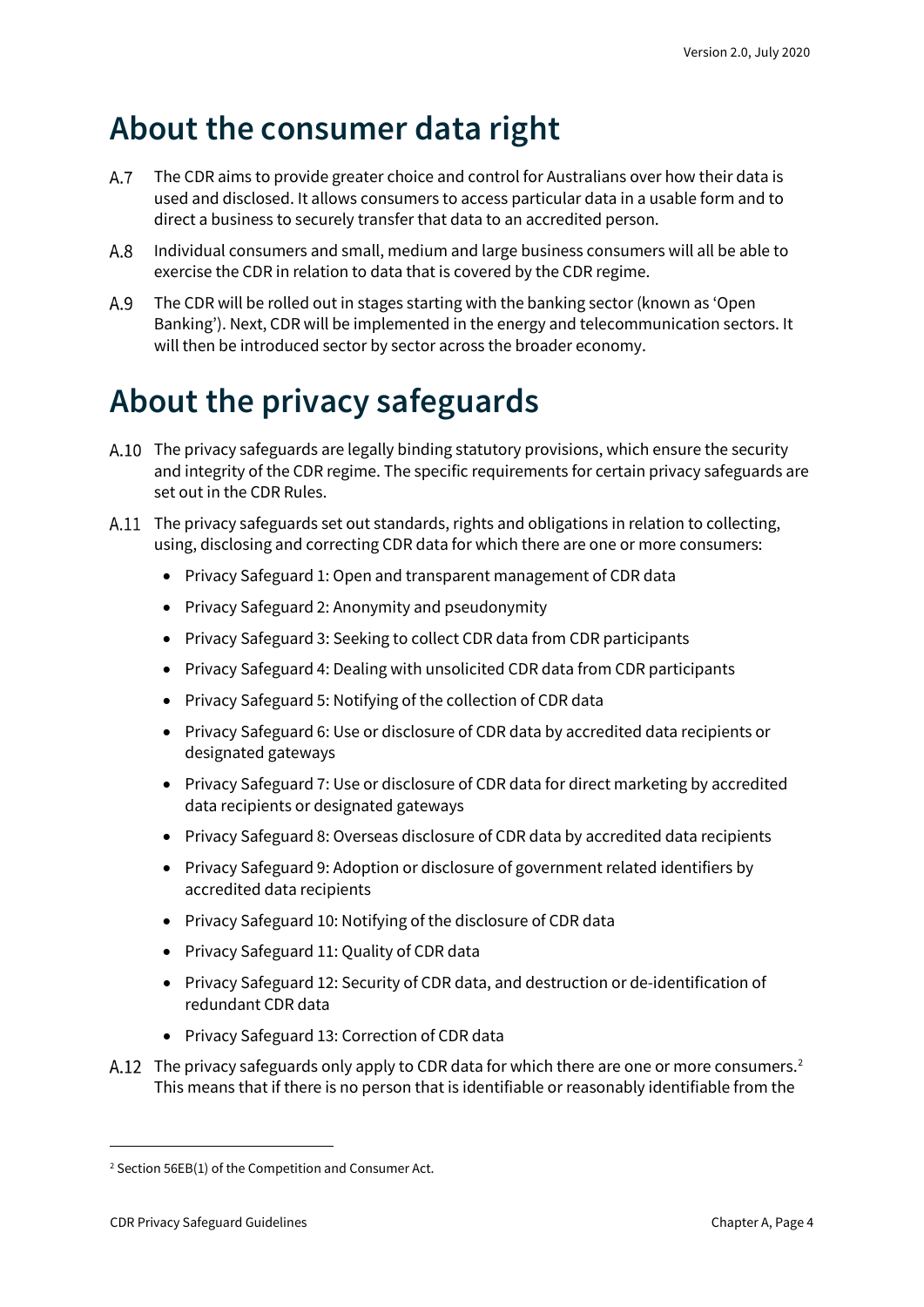### <span id="page-3-0"></span>**About the consumer data right**

- $A.7$ The CDR aims to provide greater choice and control for Australians over how their data is used and disclosed. It allows consumers to access particular data in a usable form and to direct a business to securely transfer that data to an accredited person.
- Individual consumers and small, medium and large business consumers will all be able to  $A.8$ exercise the CDR in relation to data that is covered by the CDR regime.
- A.9 The CDR will be rolled out in stages starting with the banking sector (known as 'Open Banking'). Next, CDR will be implemented in the energy and telecommunication sectors. It will then be introduced sector by sector across the broader economy.

## <span id="page-3-1"></span>**About the privacy safeguards**

- A.10 The privacy safeguards are legally binding statutory provisions, which ensure the security and integrity of the CDR regime. The specific requirements for certain privacy safeguards are set out in the CDR Rules.
- A.11 The privacy safeguards set out standards, rights and obligations in relation to collecting, using, disclosing and correcting CDR data for which there are one or more consumers:
	- Privacy Safeguard 1: Open and transparent management of CDR data
	- Privacy Safeguard 2: Anonymity and pseudonymity
	- Privacy Safeguard 3: Seeking to collect CDR data from CDR participants
	- Privacy Safeguard 4: Dealing with unsolicited CDR data from CDR participants
	- Privacy Safeguard 5: Notifying of the collection of CDR data
	- Privacy Safeguard 6: Use or disclosure of CDR data by accredited data recipients or designated gateways
	- Privacy Safeguard 7: Use or disclosure of CDR data for direct marketing by accredited data recipients or designated gateways
	- Privacy Safeguard 8: Overseas disclosure of CDR data by accredited data recipients
	- Privacy Safeguard 9: Adoption or disclosure of government related identifiers by accredited data recipients
	- Privacy Safeguard 10: Notifying of the disclosure of CDR data
	- Privacy Safeguard 11: Quality of CDR data
	- Privacy Safeguard 12: Security of CDR data, and destruction or de-identification of redundant CDR data
	- Privacy Safeguard 13: Correction of CDR data
- A.1[2](#page-3-2) The privacy safeguards only apply to CDR data for which there are one or more consumers.<sup>2</sup> This means that if there is no person that is identifiable or reasonably identifiable from the

<span id="page-3-2"></span><sup>2</sup> Section 56EB(1) of the Competition and Consumer Act.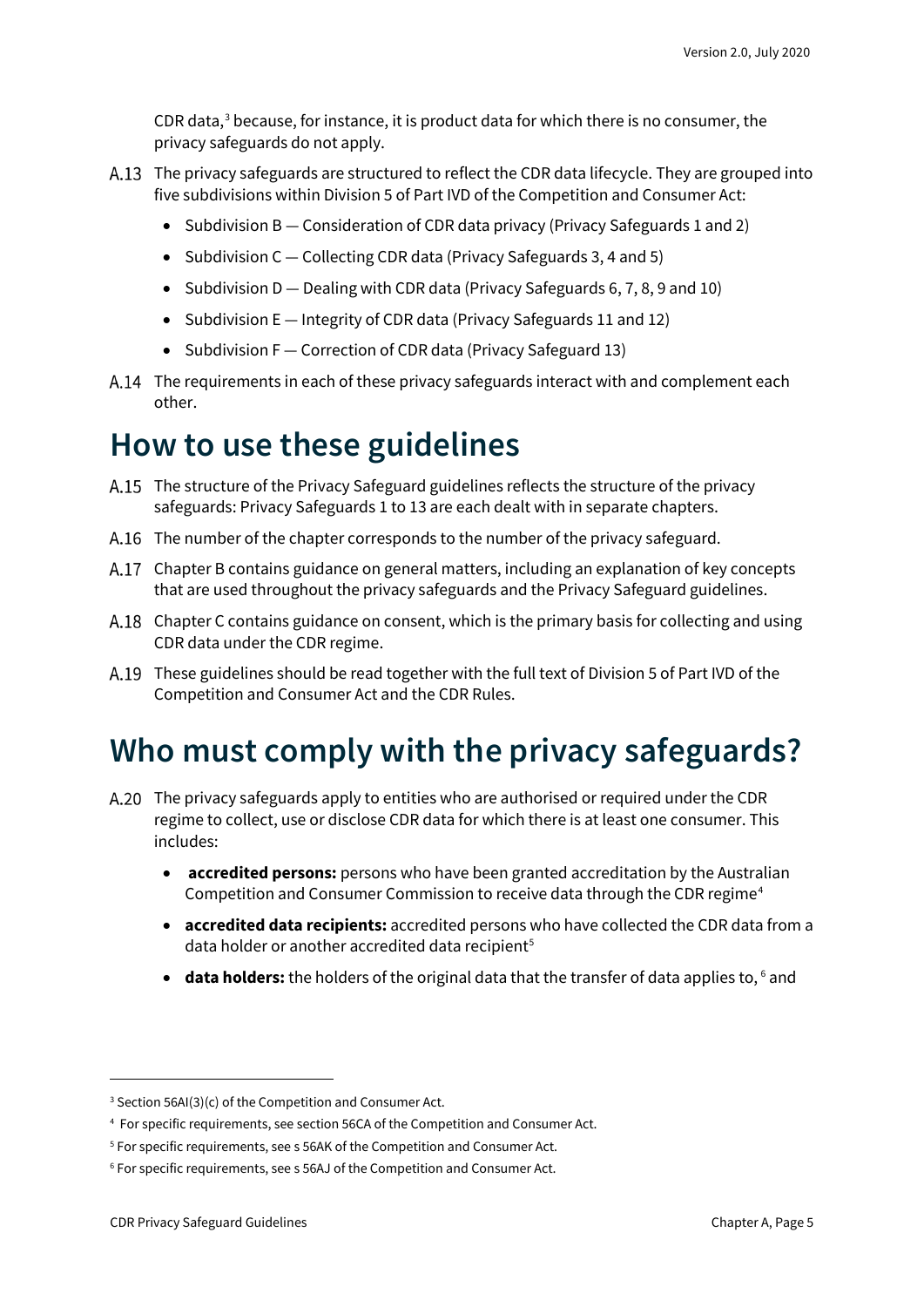CDR data, $3$  because, for instance, it is product data for which there is no consumer, the privacy safeguards do not apply.

- A.13 The privacy safeguards are structured to reflect the CDR data lifecycle. They are grouped into five subdivisions within Division 5 of Part IVD of the Competition and Consumer Act:
	- Subdivision B Consideration of CDR data privacy (Privacy Safeguards 1 and 2)
	- Subdivision C Collecting CDR data (Privacy Safeguards 3, 4 and 5)
	- Subdivision D Dealing with CDR data (Privacy Safeguards 6, 7, 8, 9 and 10)
	- Subdivision E Integrity of CDR data (Privacy Safeguards 11 and 12)
	- Subdivision F Correction of CDR data (Privacy Safeguard 13)
- A.14 The requirements in each of these privacy safeguards interact with and complement each other.

#### **How to use these guidelines**

- The structure of the Privacy Safeguard guidelines reflects the structure of the privacy safeguards: Privacy Safeguards 1 to 13 are each dealt with in separate chapters.
- A.16 The number of the chapter corresponds to the number of the privacy safeguard.
- Chapter B contains guidance on general matters, including an explanation of key concepts that are used throughout the privacy safeguards and the Privacy Safeguard guidelines.
- A.18 Chapter C contains guidance on consent, which is the primary basis for collecting and using CDR data under the CDR regime.
- A.19 These guidelines should be read together with the full text of Division 5 of Part IVD of the Competition and Consumer Act and the CDR Rules.

#### <span id="page-4-0"></span>**Who must comply with the privacy safeguards?**

- A.20 The privacy safeguards apply to entities who are authorised or required under the CDR regime to collect, use or disclose CDR data for which there is at least one consumer. This includes:
	- **accredited persons:** persons who have been granted accreditation by the Australian Competition and Consumer Commission to receive data through the CDR regime<sup>[4](#page-4-2)</sup>
	- **accredited data recipients:** accredited persons who have collected the CDR data from a data holder or another accredited data recipient<sup>[5](#page-4-3)</sup>
	- data holders: the holders of the original data that the transfer of data applies to, <sup>[6](#page-4-4)</sup> and

<span id="page-4-1"></span> $3$  Section 56AI(3)(c) of the Competition and Consumer Act.

<span id="page-4-2"></span><sup>4</sup> For specific requirements, see section 56CA of the Competition and Consumer Act.

<span id="page-4-3"></span><sup>5</sup> For specific requirements, see s 56AK of the Competition and Consumer Act.

<span id="page-4-4"></span><sup>6</sup> For specific requirements, see s 56AJ of the Competition and Consumer Act.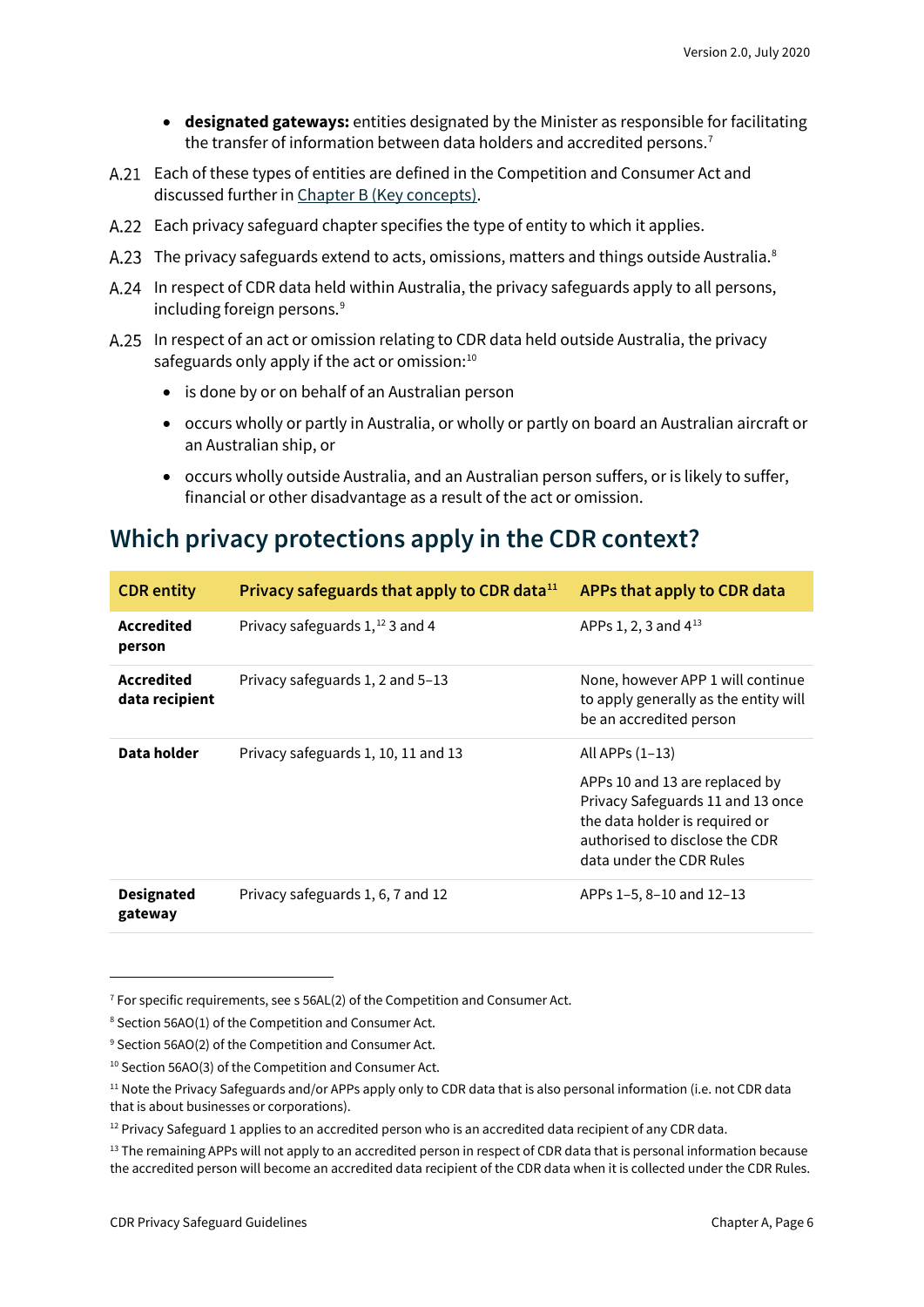- **designated gateways:** entities designated by the Minister as responsible for facilitating the transfer of information between data holders and accredited persons. [7](#page-5-1)
- Each of these types of entities are defined in the Competition and Consumer Act and discussed further in [Chapter B \(Key concepts\).](https://www.oaic.gov.au/consumer-data-right/cdr-privacy-safeguard-guidelines/chapter-b-key-concepts)
- Each privacy safeguard chapter specifies the type of entity to which it applies.
- A.23 The privacy safeguards extend to acts, omissions, matters and things outside Australia.<sup>8</sup>
- A.24 In respect of CDR data held within Australia, the privacy safeguards apply to all persons, including foreign persons.<sup>[9](#page-5-3)</sup>
- A.25 In respect of an act or omission relating to CDR data held outside Australia, the privacy safeguards only apply if the act or omission: $10$ 
	- is done by or on behalf of an Australian person
	- occurs wholly or partly in Australia, or wholly or partly on board an Australian aircraft or an Australian ship, or
	- occurs wholly outside Australia, and an Australian person suffers, or is likely to suffer, financial or other disadvantage as a result of the act or omission.

#### <span id="page-5-0"></span>**Which privacy protections apply in the CDR context?**

| <b>CDR</b> entity                   | Privacy safeguards that apply to CDR data <sup>11</sup> | APPs that apply to CDR data                                                                                                                                                              |
|-------------------------------------|---------------------------------------------------------|------------------------------------------------------------------------------------------------------------------------------------------------------------------------------------------|
| Accredited<br>person                | Privacy safeguards $1,$ <sup>12</sup> 3 and 4           | APPs 1, 2, 3 and 4 <sup>13</sup>                                                                                                                                                         |
| <b>Accredited</b><br>data recipient | Privacy safeguards 1, 2 and 5-13                        | None, however APP 1 will continue<br>to apply generally as the entity will<br>be an accredited person                                                                                    |
| Data holder                         | Privacy safeguards 1, 10, 11 and 13                     | All APPs $(1-13)$<br>APPs 10 and 13 are replaced by<br>Privacy Safeguards 11 and 13 once<br>the data holder is required or<br>authorised to disclose the CDR<br>data under the CDR Rules |
| <b>Designated</b><br>gateway        | Privacy safeguards 1, 6, 7 and 12                       | APPs 1-5, 8-10 and 12-13                                                                                                                                                                 |

<span id="page-5-1"></span> $7$  For specific requirements, see s 56AL(2) of the Competition and Consumer Act.

<span id="page-5-2"></span><sup>8</sup> Section 56AO(1) of the Competition and Consumer Act.

<span id="page-5-3"></span><sup>&</sup>lt;sup>9</sup> Section 56AO(2) of the Competition and Consumer Act.

<span id="page-5-4"></span><sup>10</sup> Section 56AO(3) of the Competition and Consumer Act.

<span id="page-5-5"></span><sup>&</sup>lt;sup>11</sup> Note the Privacy Safeguards and/or APPs apply only to CDR data that is also personal information (i.e. not CDR data that is about businesses or corporations).

<span id="page-5-6"></span><sup>&</sup>lt;sup>12</sup> Privacy Safeguard 1 applies to an accredited person who is an accredited data recipient of any CDR data.

<span id="page-5-7"></span><sup>&</sup>lt;sup>13</sup> The remaining APPs will not apply to an accredited person in respect of CDR data that is personal information because the accredited person will become an accredited data recipient of the CDR data when it is collected under the CDR Rules.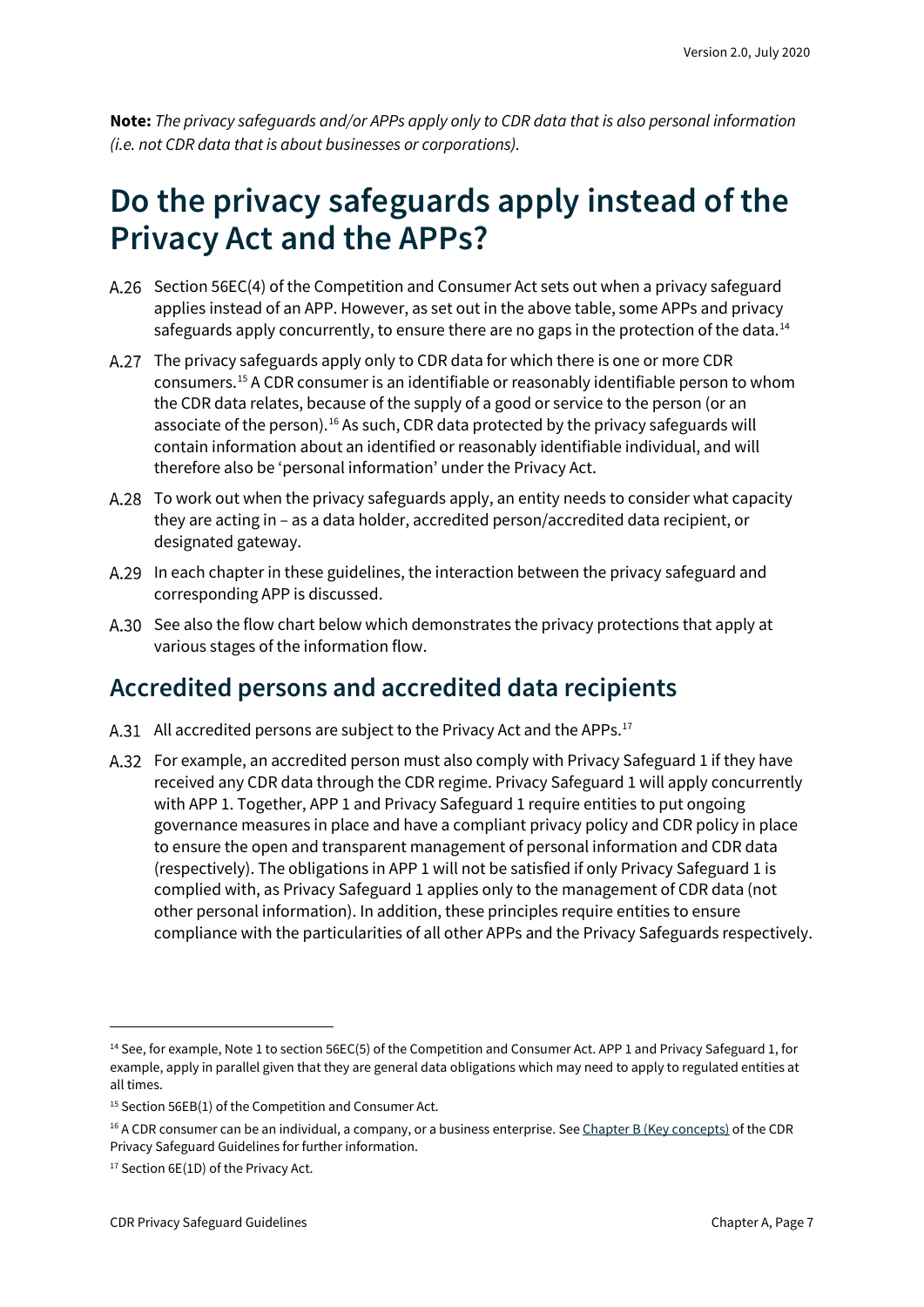**Note:** *The privacy safeguards and/or APPs apply only to CDR data that is also personal information (i.e. not CDR data that is about businesses or corporations).*

### <span id="page-6-0"></span>**Do the privacy safeguards apply instead of the Privacy Act and the APPs?**

- Section 56EC(4) of the Competition and Consumer Act sets out when a privacy safeguard applies instead of an APP. However, as set out in the above table, some APPs and privacy safeguards apply concurrently, to ensure there are no gaps in the protection of the data. $^{14}$  $^{14}$  $^{14}$
- The privacy safeguards apply only to CDR data for which there is one or more CDR consumers. [15](#page-6-3) A CDR consumer is an identifiable or reasonably identifiable person to whom the CDR data relates, because of the supply of a good or service to the person (or an associate of the person).<sup>[16](#page-6-4)</sup> As such, CDR data protected by the privacy safeguards will contain information about an identified or reasonably identifiable individual, and will therefore also be 'personal information' under the Privacy Act.
- A.28 To work out when the privacy safeguards apply, an entity needs to consider what capacity they are acting in – as a data holder, accredited person/accredited data recipient, or designated gateway.
- A.29 In each chapter in these guidelines, the interaction between the privacy safeguard and corresponding APP is discussed.
- A.30 See also the flow chart below which demonstrates the privacy protections that apply at various stages of the information flow.

#### <span id="page-6-1"></span>**Accredited persons and accredited data recipients**

- A.31 All accredited persons are subject to the Privacy Act and the APPs.<sup>[17](#page-6-5)</sup>
- For example, an accredited person must also comply with Privacy Safeguard 1 if they have received any CDR data through the CDR regime. Privacy Safeguard 1 will apply concurrently with APP 1. Together, APP 1 and Privacy Safeguard 1 require entities to put ongoing governance measures in place and have a compliant privacy policy and CDR policy in place to ensure the open and transparent management of personal information and CDR data (respectively). The obligations in APP 1 will not be satisfied if only Privacy Safeguard 1 is complied with, as Privacy Safeguard 1 applies only to the management of CDR data (not other personal information). In addition, these principles require entities to ensure compliance with the particularities of all other APPs and the Privacy Safeguards respectively.

<span id="page-6-2"></span><sup>&</sup>lt;sup>14</sup> See, for example, Note 1 to section 56EC(5) of the Competition and Consumer Act. APP 1 and Privacy Safeguard 1, for example, apply in parallel given that they are general data obligations which may need to apply to regulated entities at all times.

<span id="page-6-3"></span><sup>15</sup> Section 56EB(1) of the Competition and Consumer Act.

<span id="page-6-4"></span><sup>&</sup>lt;sup>16</sup> A CDR consumer can be an individual, a company, or a business enterprise. Se[e Chapter B \(Key concepts\)](https://www.oaic.gov.au/consumer-data-right/cdr-privacy-safeguard-guidelines/chapter-b-key-concepts/#consumer-cdr-consumer-or-eligible-cdr-consumer) of the CDR Privacy Safeguard Guidelines for further information.

<span id="page-6-5"></span><sup>&</sup>lt;sup>17</sup> Section 6E(1D) of the Privacy Act.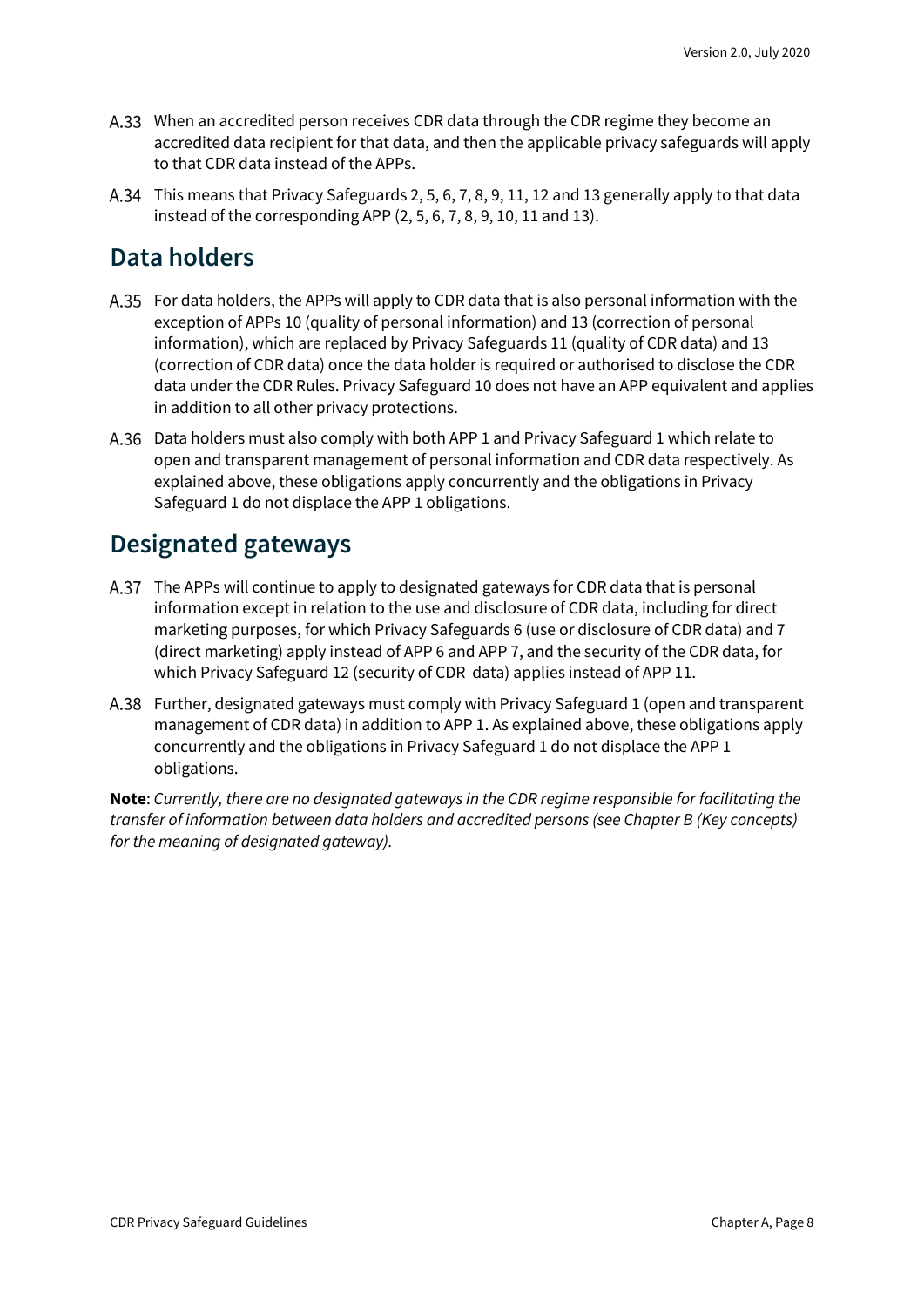- A.33 When an accredited person receives CDR data through the CDR regime they become an accredited data recipient for that data, and then the applicable privacy safeguards will apply to that CDR data instead of the APPs.
- This means that Privacy Safeguards 2, 5, 6, 7, 8, 9, 11, 12 and 13 generally apply to that data instead of the corresponding APP (2, 5, 6, 7, 8, 9, 10, 11 and 13).

#### <span id="page-7-0"></span>**Data holders**

- For data holders, the APPs will apply to CDR data that is also personal information with the exception of APPs 10 (quality of personal information) and 13 (correction of personal information), which are replaced by Privacy Safeguards 11 (quality of CDR data) and 13 (correction of CDR data) once the data holder is required or authorised to disclose the CDR data under the CDR Rules. Privacy Safeguard 10 does not have an APP equivalent and applies in addition to all other privacy protections.
- Data holders must also comply with both APP 1 and Privacy Safeguard 1 which relate to open and transparent management of personal information and CDR data respectively. As explained above, these obligations apply concurrently and the obligations in Privacy Safeguard 1 do not displace the APP 1 obligations.

#### <span id="page-7-1"></span>**Designated gateways**

- The APPs will continue to apply to designated gateways for CDR data that is personal information except in relation to the use and disclosure of CDR data, including for direct marketing purposes, for which Privacy Safeguards 6 (use or disclosure of CDR data) and 7 (direct marketing) apply instead of APP 6 and APP 7, and the security of the CDR data, for which Privacy Safeguard 12 (security of CDR data) applies instead of APP 11.
- A.38 Further, designated gateways must comply with Privacy Safeguard 1 (open and transparent management of CDR data) in addition to APP 1. As explained above, these obligations apply concurrently and the obligations in Privacy Safeguard 1 do not displace the APP 1 obligations.

**Note**: *Currently, there are no designated gateways in the CDR regime responsible for facilitating the transfer of information between data holders and accredited persons (see Chapter B (Key concepts) for the meaning of designated gateway).*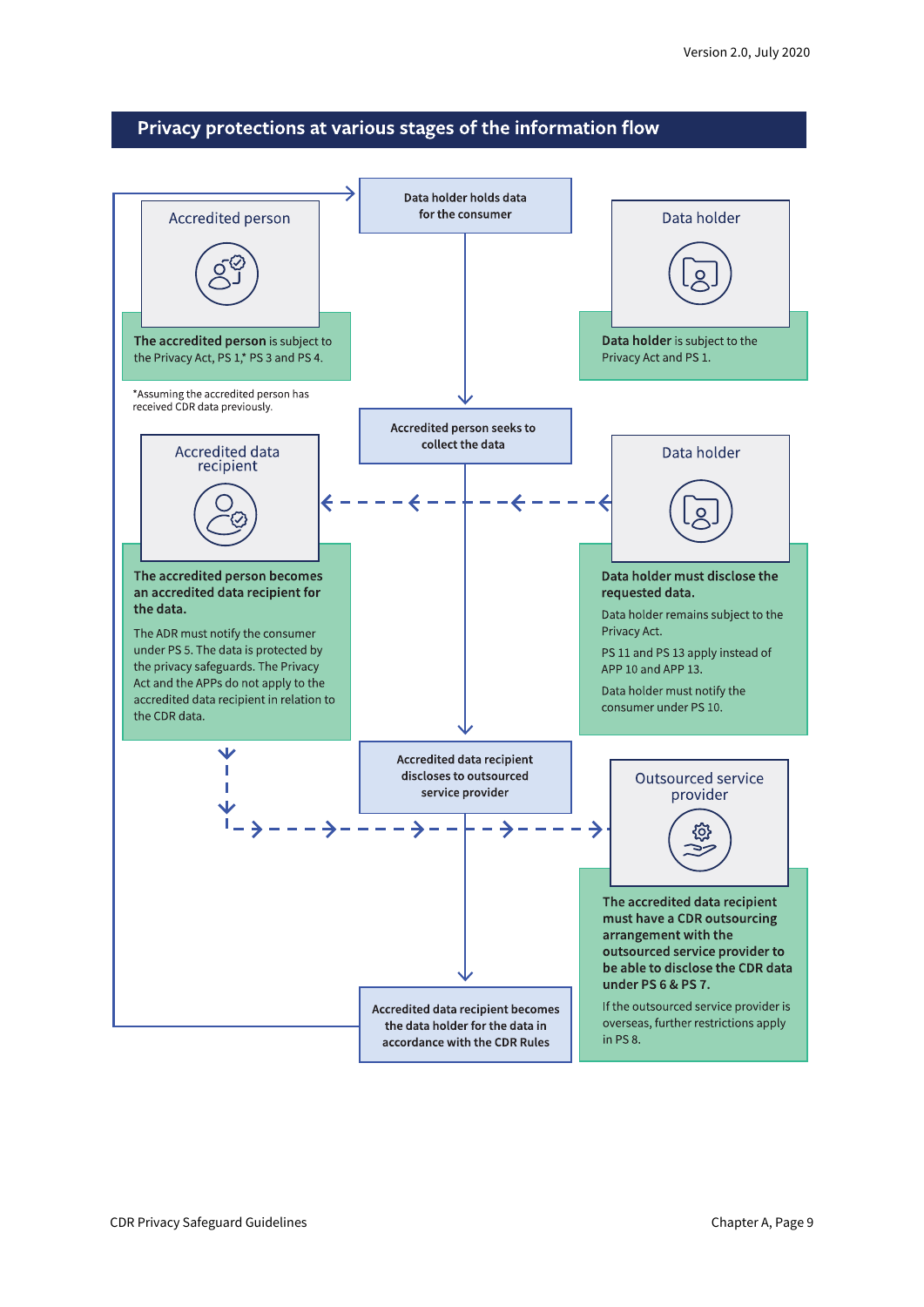#### Privacy protections at various stages of the information flow